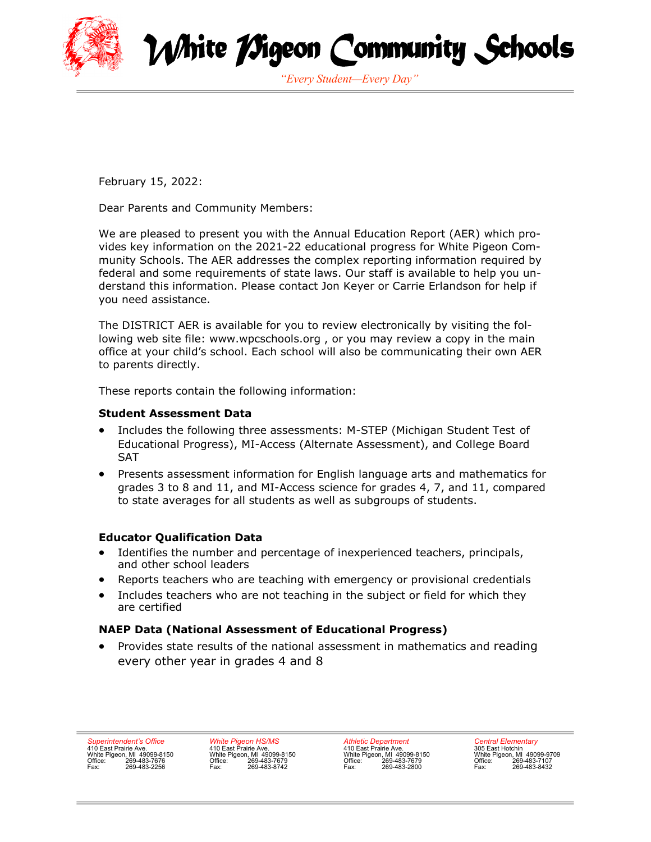



*"Every Student—Every Day"*

February 15, 2022:

Dear Parents and Community Members:

We are pleased to present you with the Annual Education Report (AER) which provides key information on the 2021-22 educational progress for White Pigeon Community Schools. The AER addresses the complex reporting information required by federal and some requirements of state laws. Our staff is available to help you understand this information. Please contact Jon Keyer or Carrie Erlandson for help if you need assistance.

The DISTRICT AER is available for you to review electronically by visiting the following web site file: www.wpcschools.org , or you may review a copy in the main office at your child's school. Each school will also be communicating their own AER to parents directly.

These reports contain the following information:

## **Student Assessment Data**

- Includes the following three assessments: M-STEP (Michigan Student Test of Educational Progress), MI-Access (Alternate Assessment), and College Board SAT
- Presents assessment information for English language arts and mathematics for grades 3 to 8 and 11, and MI-Access science for grades 4, 7, and 11, compared to state averages for all students as well as subgroups of students.

## **Educator Qualification Data**

- Identifies the number and percentage of inexperienced teachers, principals, and other school leaders
- Reports teachers who are teaching with emergency or provisional credentials
- Includes teachers who are not teaching in the subject or field for which they are certified

## **NAEP Data (National Assessment of Educational Progress)**

• Provides state results of the national assessment in mathematics and reading every other year in grades 4 and 8

*Superintendent's Office* 410 East Prairie Ave. White Pigeon, MI 49099-8150 Office: 269-483-7676 Fax: 269-483-2256

*White Pigeon HS/MS* 410 East Prairie Ave. White Pigeon, MI 49099-8150 Office: 269-483-7679 Fax: 269-483-8742

*Athletic Department* 410 East Prairie Ave. White Pigeon, MI 49099-8150 Office: 269-483-7679 Fax: 269-483-2800

*Central Elementary* 305 East Hotchin White Pigeon, MI 49099-9709 Office: 269-483-7107 Fax: 269-483-8432